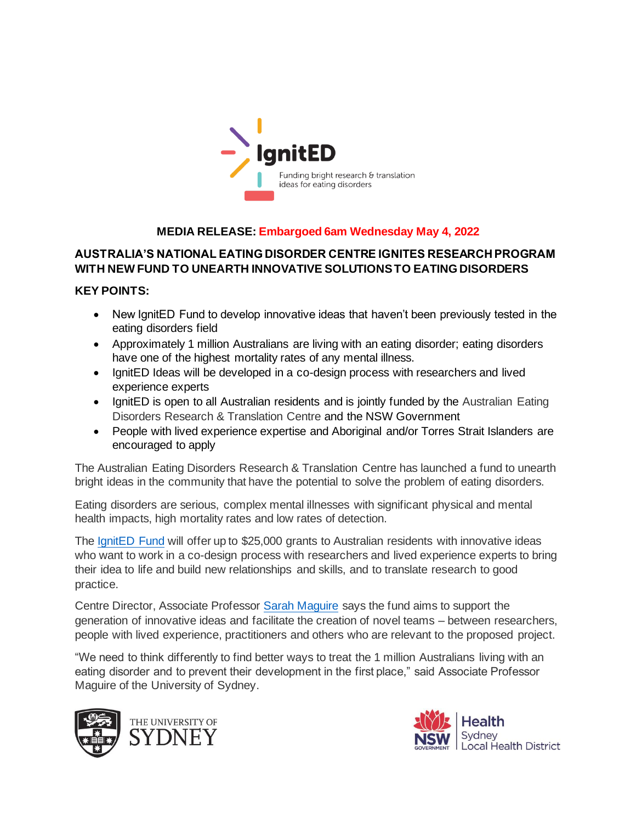

# **MEDIA RELEASE: Embargoed 6am Wednesday May 4, 2022**

# **AUSTRALIA'S NATIONAL EATING DISORDER CENTRE IGNITES RESEARCH PROGRAM WITH NEW FUND TO UNEARTH INNOVATIVE SOLUTIONS TO EATING DISORDERS**

## **KEY POINTS:**

- New IgnitED Fund to develop innovative ideas that haven't been previously tested in the eating disorders field
- Approximately 1 million Australians are living with an eating disorder; eating disorders have one of the highest mortality rates of any mental illness.
- IgnitED Ideas will be developed in a co-design process with researchers and lived experience experts
- IgnitED is open to all Australian residents and is jointly funded by the Australian Eating Disorders Research & Translation Centre and the NSW Government
- People with lived experience expertise and Aboriginal and/or Torres Strait Islanders are encouraged to apply

The Australian Eating Disorders Research & Translation Centre has launched a fund to unearth bright ideas in the community that have the potential to solve the problem of eating disorders.

Eating disorders are serious, complex mental illnesses with significant physical and mental health impacts, high mortality rates and low rates of detection.

The IgnitED Fund will offer up to \$25,000 grants to Australian residents with innovative ideas who want to work in a co-design process with researchers and lived experience experts to bring their idea to life and build new relationships and skills, and to translate research to good practice.

Centre Director, Associate Professor Sarah Maguire says the fund aims to support the generation of innovative ideas and facilitate the creation of novel teams – between researchers, people with lived experience, practitioners and others who are relevant to the proposed project.

"We need to think differently to find better ways to treat the 1 million Australians living with an eating disorder and to prevent their development in the first place," said Associate Professor Maguire of the University of Sydney.



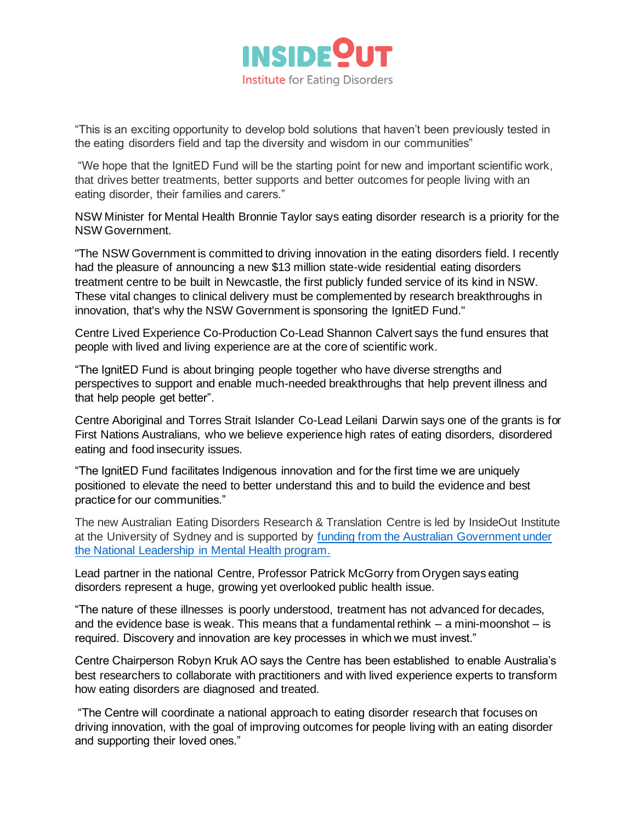

"This is an exciting opportunity to develop bold solutions that haven't been previously tested in the eating disorders field and tap the diversity and wisdom in our communities"

"We hope that the IgnitED Fund will be the starting point for new and important scientific work, that drives better treatments, better supports and better outcomes for people living with an eating disorder, their families and carers."

NSW Minister for Mental Health Bronnie Taylor says eating disorder research is a priority for the NSW Government.

"The NSW Government is committed to driving innovation in the eating disorders field. I recently had the pleasure of announcing a new \$13 million state-wide residential eating disorders treatment centre to be built in Newcastle, the first publicly funded service of its kind in NSW. These vital changes to clinical delivery must be complemented by research breakthroughs in innovation, that's why the NSW Government is sponsoring the IgnitED Fund."

Centre Lived Experience Co-Production Co-Lead Shannon Calvert says the fund ensures that people with lived and living experience are at the core of scientific work.

"The IgnitED Fund is about bringing people together who have diverse strengths and perspectives to support and enable much-needed breakthroughs that help prevent illness and that help people get better".

Centre Aboriginal and Torres Strait Islander Co-Lead Leilani Darwin says one of the grants is for First Nations Australians, who we believe experience high rates of eating disorders, disordered eating and food insecurity issues.

"The IgnitED Fund facilitates Indigenous innovation and for the first time we are uniquely positioned to elevate the need to better understand this and to build the evidence and best practice for our communities."

The new Australian Eating Disorders Research & Translation Centre is led by InsideOut Institute at the University of Sydney and is supported by funding from the Australian Government under the National Leadership in Mental Health program.

Lead partner in the national Centre, Professor Patrick McGorry from Orygen says eating disorders represent a huge, growing yet overlooked public health issue.

"The nature of these illnesses is poorly understood, treatment has not advanced for decades, and the evidence base is weak. This means that a fundamental rethink  $-$  a mini-moonshot  $-$  is required. Discovery and innovation are key processes in which we must invest."

Centre Chairperson Robyn Kruk AO says the Centre has been established to enable Australia's best researchers to collaborate with practitioners and with lived experience experts to transform how eating disorders are diagnosed and treated.

"The Centre will coordinate a national approach to eating disorder research that focuses on driving innovation, with the goal of improving outcomes for people living with an eating disorder and supporting their loved ones."